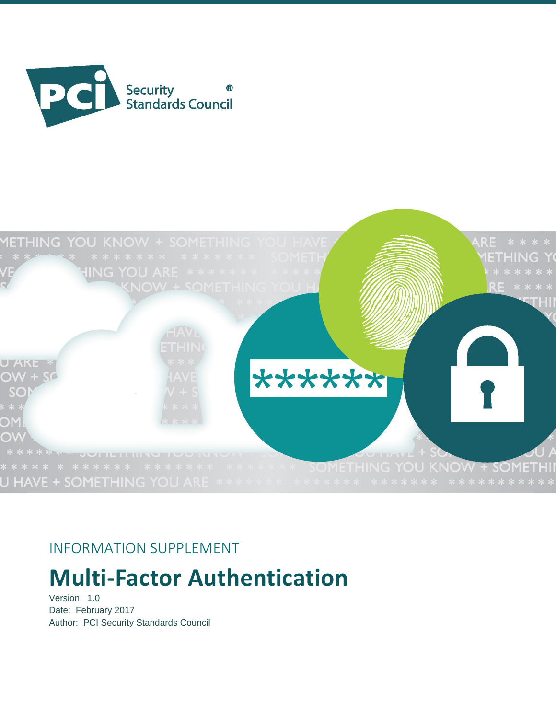



# INFORMATION SUPPLEMENT

# **Multi-Factor Authentication**

Version: 1.0 Date: February 2017 Author: PCI Security Standards Council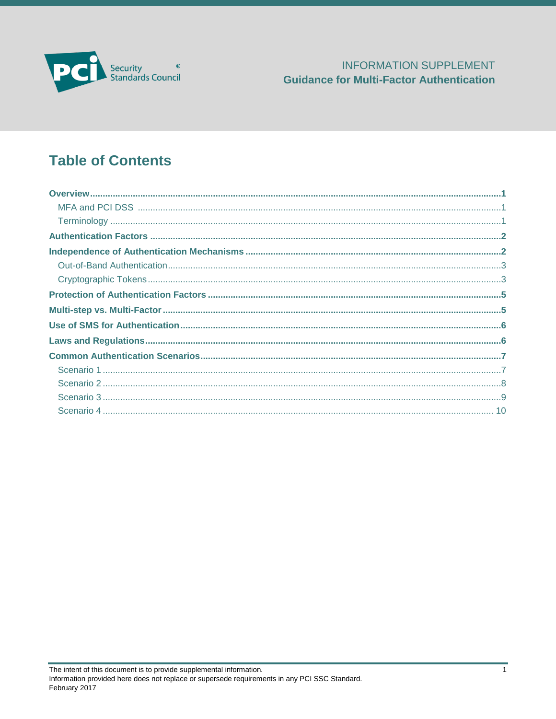

# **Table of Contents**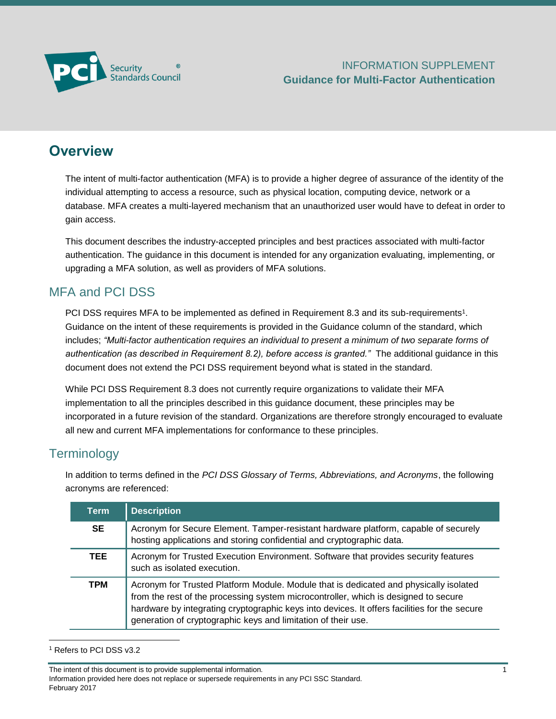

### <span id="page-2-0"></span>**Overview**

The intent of multi-factor authentication (MFA) is to provide a higher degree of assurance of the identity of the individual attempting to access a resource, such as physical location, computing device, network or a database. MFA creates a multi-layered mechanism that an unauthorized user would have to defeat in order to gain access.

This document describes the industry-accepted principles and best practices associated with multi-factor authentication. The guidance in this document is intended for any organization evaluating, implementing, or upgrading a MFA solution, as well as providers of MFA solutions.

### <span id="page-2-1"></span>MFA and PCI DSS

PCI DSS requires MFA to be implemented as defined in Requirement 8.3 and its sub-requirements<sup>1</sup>. Guidance on the intent of these requirements is provided in the Guidance column of the standard, which includes; *"Multi-factor authentication requires an individual to present a minimum of two separate forms of authentication (as described in Requirement 8.2), before access is granted."* The additional guidance in this document does not extend the PCI DSS requirement beyond what is stated in the standard.

While PCI DSS Requirement 8.3 does not currently require organizations to validate their MFA implementation to all the principles described in this guidance document, these principles may be incorporated in a future revision of the standard. Organizations are therefore strongly encouraged to evaluate all new and current MFA implementations for conformance to these principles.

### <span id="page-2-2"></span>**Terminology**

In addition to terms defined in the *PCI DSS Glossary of Terms, Abbreviations, and Acronyms*, the following acronyms are referenced:

| <b>Term</b> | <b>Description</b>                                                                                                                                                                                                                                                                                                                            |
|-------------|-----------------------------------------------------------------------------------------------------------------------------------------------------------------------------------------------------------------------------------------------------------------------------------------------------------------------------------------------|
| <b>SE</b>   | Acronym for Secure Element. Tamper-resistant hardware platform, capable of securely<br>hosting applications and storing confidential and cryptographic data.                                                                                                                                                                                  |
| TEE.        | Acronym for Trusted Execution Environment. Software that provides security features<br>such as isolated execution.                                                                                                                                                                                                                            |
| <b>TPM</b>  | Acronym for Trusted Platform Module. Module that is dedicated and physically isolated<br>from the rest of the processing system microcontroller, which is designed to secure<br>hardware by integrating cryptographic keys into devices. It offers facilities for the secure<br>generation of cryptographic keys and limitation of their use. |

<sup>1</sup> Refers to PCI DSS v3.2

l

The intent of this document is to provide supplemental information. 1

Information provided here does not replace or supersede requirements in any PCI SSC Standard. February 2017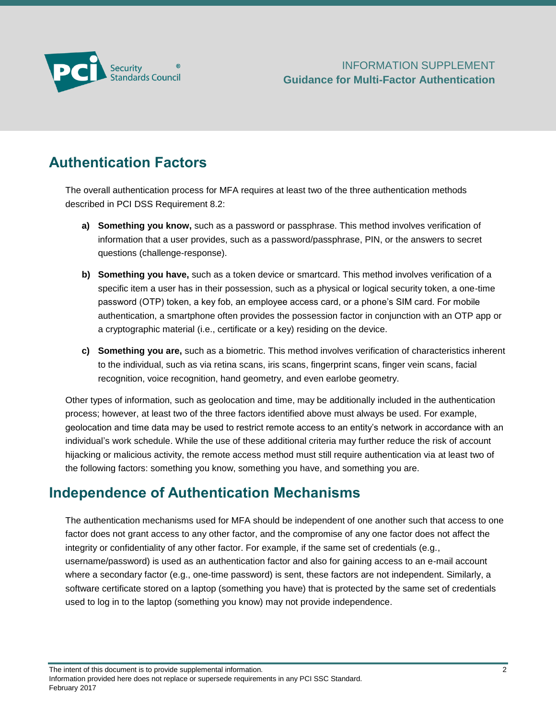

# <span id="page-3-0"></span>**Authentication Factors**

The overall authentication process for MFA requires at least two of the three authentication methods described in PCI DSS Requirement 8.2:

- **a) Something you know,** such as a password or passphrase. This method involves verification of information that a user provides, such as a password/passphrase, PIN, or the answers to secret questions (challenge-response).
- **b) Something you have,** such as a token device or smartcard. This method involves verification of a specific item a user has in their possession, such as a physical or logical security token, a one-time password (OTP) token, a key fob, an employee access card, or a phone's SIM card. For mobile authentication, a smartphone often provides the possession factor in conjunction with an OTP app or a cryptographic material (i.e., certificate or a key) residing on the device.
- **c) Something you are,** such as a biometric. This method involves verification of characteristics inherent to the individual, such as via retina scans, iris scans, fingerprint scans, finger vein scans, facial recognition, voice recognition, hand geometry, and even earlobe geometry.

Other types of information, such as geolocation and time, may be additionally included in the authentication process; however, at least two of the three factors identified above must always be used. For example, geolocation and time data may be used to restrict remote access to an entity's network in accordance with an individual's work schedule. While the use of these additional criteria may further reduce the risk of account hijacking or malicious activity, the remote access method must still require authentication via at least two of the following factors: something you know, something you have, and something you are.

### <span id="page-3-1"></span>**Independence of Authentication Mechanisms**

The authentication mechanisms used for MFA should be independent of one another such that access to one factor does not grant access to any other factor, and the compromise of any one factor does not affect the integrity or confidentiality of any other factor. For example, if the same set of credentials (e.g., username/password) is used as an authentication factor and also for gaining access to an e-mail account where a secondary factor (e.g., one-time password) is sent, these factors are not independent. Similarly, a software certificate stored on a laptop (something you have) that is protected by the same set of credentials used to log in to the laptop (something you know) may not provide independence.

The intent of this document is to provide supplemental information. 2<br>
2

Information provided here does not replace or supersede requirements in any PCI SSC Standard. February 2017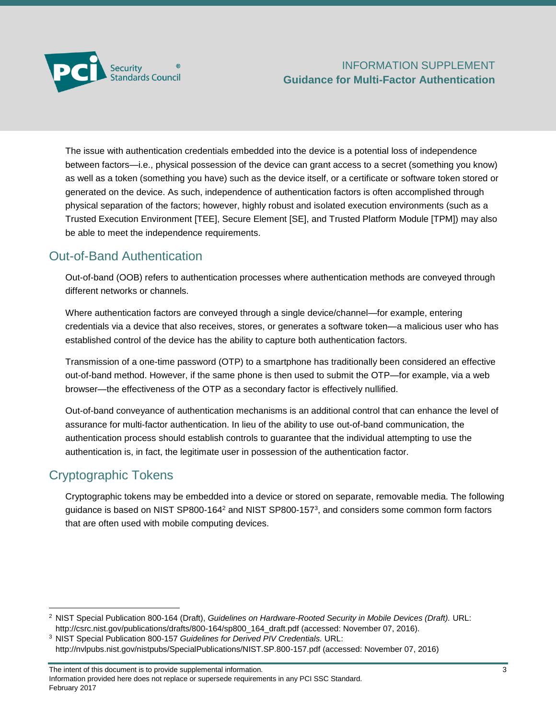

The issue with authentication credentials embedded into the device is a potential loss of independence between factors—i.e., physical possession of the device can grant access to a secret (something you know) as well as a token (something you have) such as the device itself, or a certificate or software token stored or generated on the device. As such, independence of authentication factors is often accomplished through physical separation of the factors; however, highly robust and isolated execution environments (such as a Trusted Execution Environment [TEE], Secure Element [SE], and Trusted Platform Module [TPM]) may also be able to meet the independence requirements.

### <span id="page-4-0"></span>Out-of-Band Authentication

Out-of-band (OOB) refers to authentication processes where authentication methods are conveyed through different networks or channels.

Where authentication factors are conveyed through a single device/channel—for example, entering credentials via a device that also receives, stores, or generates a software token—a malicious user who has established control of the device has the ability to capture both authentication factors.

Transmission of a one-time password (OTP) to a smartphone has traditionally been considered an effective out-of-band method. However, if the same phone is then used to submit the OTP—for example, via a web browser—the effectiveness of the OTP as a secondary factor is effectively nullified.

Out-of-band conveyance of authentication mechanisms is an additional control that can enhance the level of assurance for multi-factor authentication. In lieu of the ability to use out-of-band communication, the authentication process should establish controls to guarantee that the individual attempting to use the authentication is, in fact, the legitimate user in possession of the authentication factor.

### <span id="page-4-1"></span>Cryptographic Tokens

l

Cryptographic tokens may be embedded into a device or stored on separate, removable media. The following guidance is based on NIST SP800-164<sup>2</sup> and NIST SP800-157<sup>3</sup>, and considers some common form factors that are often used with mobile computing devices.

<sup>2</sup> NIST Special Publication 800-164 (Draft), *Guidelines on Hardware-Rooted Security in Mobile Devices (Draft).* URL: [http://csrc.nist.gov/publications/drafts/800-164/sp800\\_164\\_draft.pdf](http://csrc.nist.gov/publications/drafts/800-164/sp800_164_draft.pdf) (accessed: November 07, 2016).

<sup>3</sup> NIST Special Publication 800-157 *Guidelines for Derived PIV Credentials.* URL: <http://nvlpubs.nist.gov/nistpubs/SpecialPublications/NIST.SP.800-157.pdf> (accessed: November 07, 2016)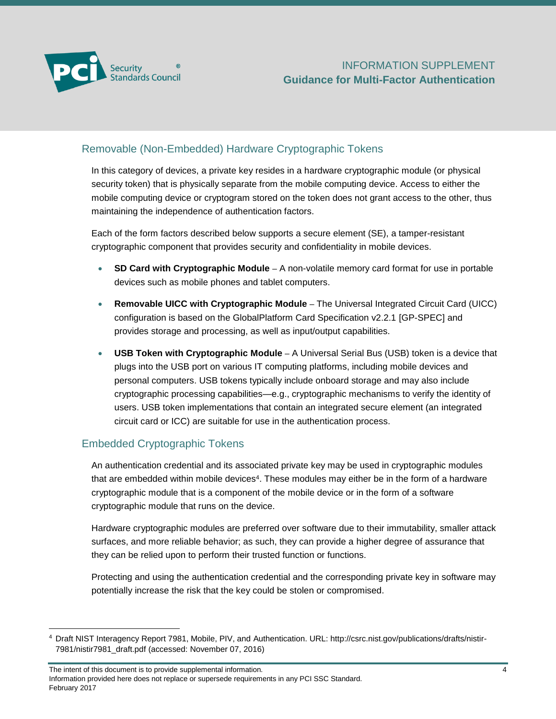

#### Removable (Non-Embedded) Hardware Cryptographic Tokens

In this category of devices, a private key resides in a hardware cryptographic module (or physical security token) that is physically separate from the mobile computing device. Access to either the mobile computing device or cryptogram stored on the token does not grant access to the other, thus maintaining the independence of authentication factors.

Each of the form factors described below supports a secure element (SE), a tamper-resistant cryptographic component that provides security and confidentiality in mobile devices.

- **SD Card with Cryptographic Module –** A non-volatile memory card format for use in portable devices such as mobile phones and tablet computers.
- **Removable UICC with Cryptographic Module –** The Universal Integrated Circuit Card (UICC) configuration is based on the GlobalPlatform Card Specification v2.2.1 [GP-SPEC] and provides storage and processing, as well as input/output capabilities.
- **USB Token with Cryptographic Module –** A Universal Serial Bus (USB) token is a device that plugs into the USB port on various IT computing platforms, including mobile devices and personal computers. USB tokens typically include onboard storage and may also include cryptographic processing capabilities—e.g., cryptographic mechanisms to verify the identity of users. USB token implementations that contain an integrated secure element (an integrated circuit card or ICC) are suitable for use in the authentication process.

#### Embedded Cryptographic Tokens

l

An authentication credential and its associated private key may be used in cryptographic modules that are embedded within mobile devices<sup>4</sup>. These modules may either be in the form of a hardware cryptographic module that is a component of the mobile device or in the form of a software cryptographic module that runs on the device.

Hardware cryptographic modules are preferred over software due to their immutability, smaller attack surfaces, and more reliable behavior; as such, they can provide a higher degree of assurance that they can be relied upon to perform their trusted function or functions.

Protecting and using the authentication credential and the corresponding private key in software may potentially increase the risk that the key could be stolen or compromised.

The intent of this document is to provide supplemental information. 4 Information provided here does not replace or supersede requirements in any PCI SSC Standard. February 2017

<sup>4</sup> Draft NIST Interagency Report 7981, Mobile, PIV, and Authentication. URL: [http://csrc.nist.gov/publications/drafts/nistir-](http://csrc.nist.gov/publications/drafts/nistir-7981/nistir7981_draft.pdf)[7981/nistir7981\\_draft.pdf](http://csrc.nist.gov/publications/drafts/nistir-7981/nistir7981_draft.pdf) (accessed: November 07, 2016)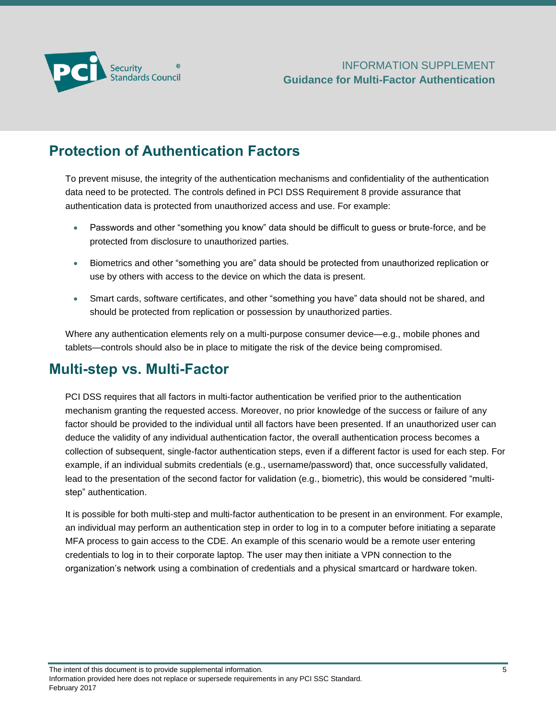

# <span id="page-6-0"></span>**Protection of Authentication Factors**

To prevent misuse, the integrity of the authentication mechanisms and confidentiality of the authentication data need to be protected. The controls defined in PCI DSS Requirement 8 provide assurance that authentication data is protected from unauthorized access and use. For example:

- Passwords and other "something you know" data should be difficult to guess or brute-force, and be protected from disclosure to unauthorized parties.
- Biometrics and other "something you are" data should be protected from unauthorized replication or use by others with access to the device on which the data is present.
- Smart cards, software certificates, and other "something you have" data should not be shared, and should be protected from replication or possession by unauthorized parties.

Where any authentication elements rely on a multi-purpose consumer device—e.g., mobile phones and tablets—controls should also be in place to mitigate the risk of the device being compromised.

### <span id="page-6-1"></span>**Multi-step vs. Multi-Factor**

PCI DSS requires that all factors in multi-factor authentication be verified prior to the authentication mechanism granting the requested access. Moreover, no prior knowledge of the success or failure of any factor should be provided to the individual until all factors have been presented. If an unauthorized user can deduce the validity of any individual authentication factor, the overall authentication process becomes a collection of subsequent, single-factor authentication steps, even if a different factor is used for each step. For example, if an individual submits credentials (e.g., username/password) that, once successfully validated, lead to the presentation of the second factor for validation (e.g., biometric), this would be considered "multistep" authentication.

<span id="page-6-2"></span>It is possible for both multi-step and multi-factor authentication to be present in an environment. For example, an individual may perform an authentication step in order to log in to a computer before initiating a separate MFA process to gain access to the CDE. An example of this scenario would be a remote user entering credentials to log in to their corporate laptop. The user may then initiate a VPN connection to the organization's network using a combination of credentials and a physical smartcard or hardware token.

The intent of this document is to provide supplemental information.  $5$ 

Information provided here does not replace or supersede requirements in any PCI SSC Standard. February 2017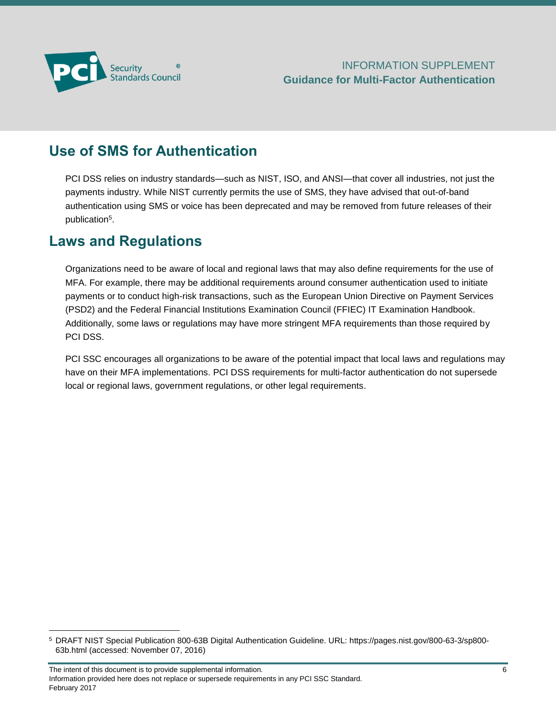

# **Use of SMS for Authentication**

PCI DSS relies on industry standards—such as NIST, ISO, and ANSI—that cover all industries, not just the payments industry. While NIST currently permits the use of SMS, they have advised that out-of-band authentication using SMS or voice has been deprecated and may be removed from future releases of their publication<sup>5</sup>.

### <span id="page-7-0"></span>**Laws and Regulations**

l

Organizations need to be aware of local and regional laws that may also define requirements for the use of MFA. For example, there may be additional requirements around consumer authentication used to initiate payments or to conduct high-risk transactions, such as the European Union Directive on Payment Services (PSD2) and the Federal Financial Institutions Examination Council (FFIEC) IT Examination Handbook. Additionally, some laws or regulations may have more stringent MFA requirements than those required by PCI DSS.

PCI SSC encourages all organizations to be aware of the potential impact that local laws and regulations may have on their MFA implementations. PCI DSS requirements for multi-factor authentication do not supersede local or regional laws, government regulations, or other legal requirements.

<sup>5</sup> DRAFT NIST Special Publication 800-63B Digital Authentication Guideline. URL: [https://pages.nist.gov/800-63-3/sp800-](https://pages.nist.gov/800-63-3/sp800-63b.html) [63b.html](https://pages.nist.gov/800-63-3/sp800-63b.html) (accessed: November 07, 2016)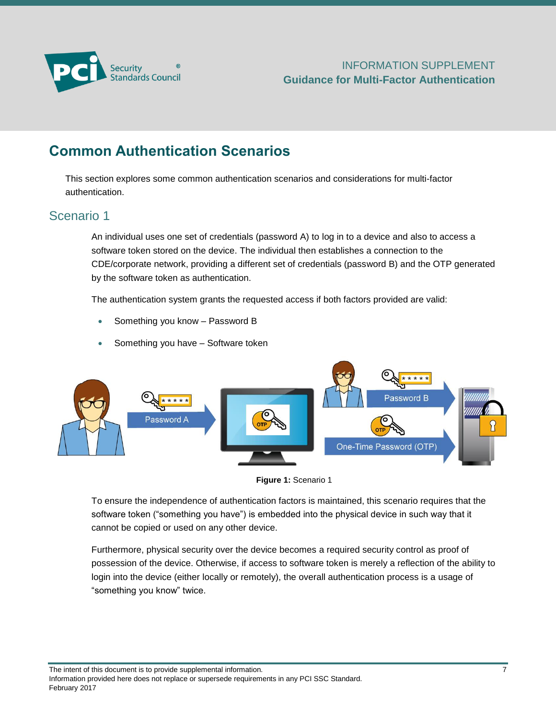

# <span id="page-8-0"></span>**Common Authentication Scenarios**

This section explores some common authentication scenarios and considerations for multi-factor authentication.

#### <span id="page-8-1"></span>Scenario 1

An individual uses one set of credentials (password A) to log in to a device and also to access a software token stored on the device. The individual then establishes a connection to the CDE/corporate network, providing a different set of credentials (password B) and the OTP generated by the software token as authentication.

The authentication system grants the requested access if both factors provided are valid:

- Something you know Password B
- Something you have Software token





To ensure the independence of authentication factors is maintained, this scenario requires that the software token ("something you have") is embedded into the physical device in such way that it cannot be copied or used on any other device.

Furthermore, physical security over the device becomes a required security control as proof of possession of the device. Otherwise, if access to software token is merely a reflection of the ability to login into the device (either locally or remotely), the overall authentication process is a usage of "something you know" twice.

The intent of this document is to provide supplemental information. 7

Information provided here does not replace or supersede requirements in any PCI SSC Standard. February 2017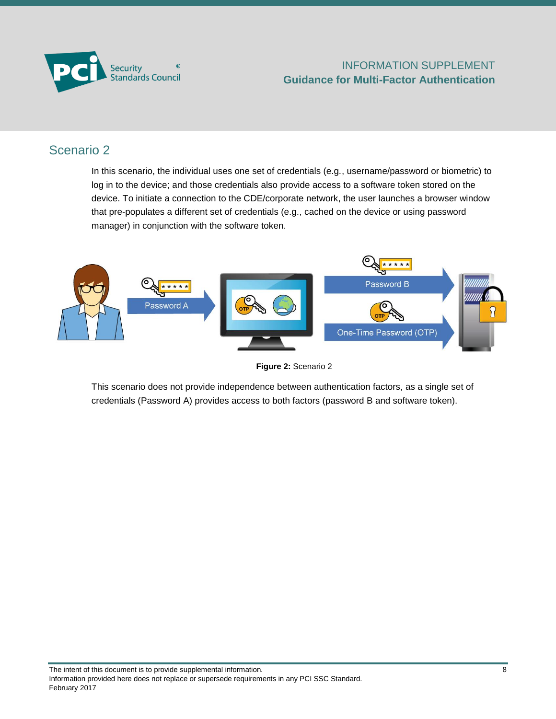

### <span id="page-9-0"></span>Scenario 2

In this scenario, the individual uses one set of credentials (e.g., username/password or biometric) to log in to the device; and those credentials also provide access to a software token stored on the device. To initiate a connection to the CDE/corporate network, the user launches a browser window that pre-populates a different set of credentials (e.g., cached on the device or using password manager) in conjunction with the software token.



**Figure 2:** Scenario 2

This scenario does not provide independence between authentication factors, as a single set of credentials (Password A) provides access to both factors (password B and software token).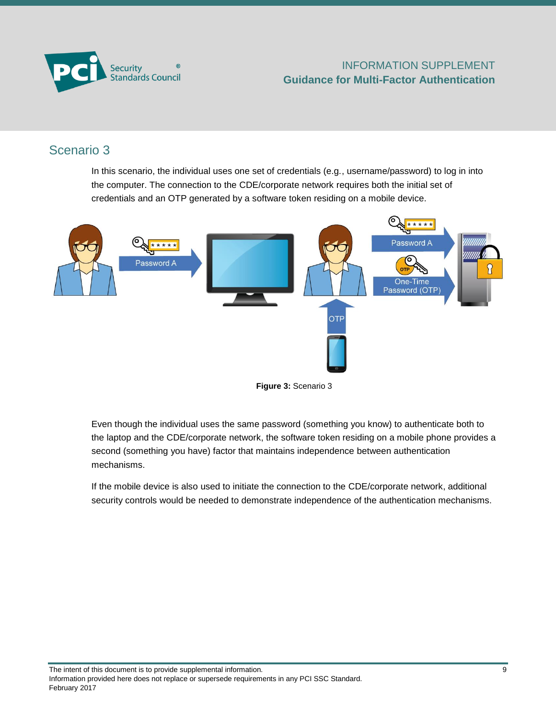

### <span id="page-10-0"></span>Scenario 3

In this scenario, the individual uses one set of credentials (e.g., username/password) to log in into the computer. The connection to the CDE/corporate network requires both the initial set of credentials and an OTP generated by a software token residing on a mobile device.





Even though the individual uses the same password (something you know) to authenticate both to the laptop and the CDE/corporate network, the software token residing on a mobile phone provides a second (something you have) factor that maintains independence between authentication mechanisms.

If the mobile device is also used to initiate the connection to the CDE/corporate network, additional security controls would be needed to demonstrate independence of the authentication mechanisms.